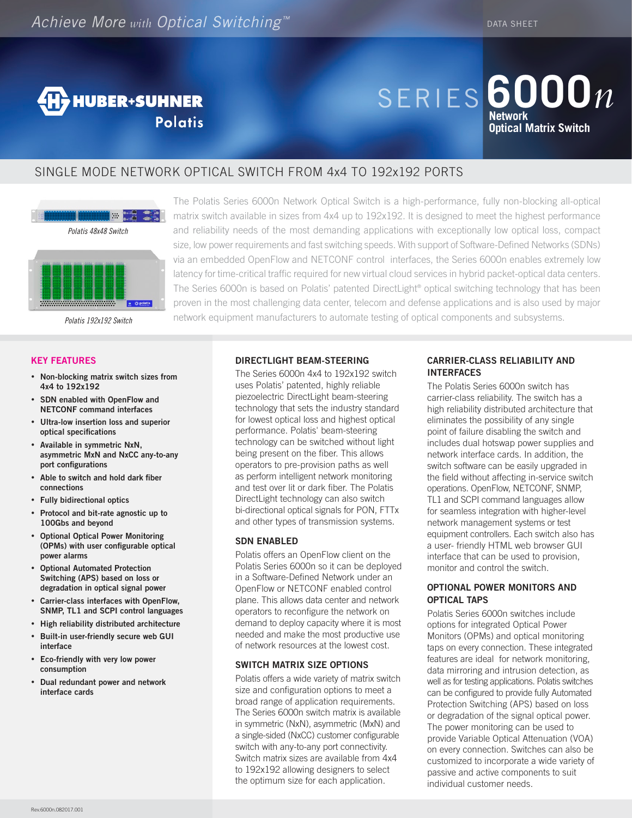

# Series **6000***n* **Network Optical Matrix Switch**

### single mode network optical switch From 4x4 to 192x192 ports



o O polar

### **Key Features**

- • **Non-blocking matrix switch sizes from 4x4 to 192x192**
- • **SDN enabled with OpenFlow and NETCONF command interfaces**
- • **Ultra-low insertion loss and superior optical specifications**
- • **Available in symmetric NxN, asymmetric MxN and NxCC any-to-any port configurations**
- • **Able to switch and hold dark fiber connections**
- • **Fully bidirectional optics**
- • **Protocol and bit-rate agnostic up to 100Gbs and beyond**
- • **Optional Optical Power Monitoring (OPMs) with user configurable optical power alarms**
- • **Optional Automated Protection Switching (APS) based on loss or degradation in optical signal power**
- • **Carrier-class interfaces with OpenFlow, SNMP, TL1 and SCPI control languages**
- • **High reliability distributed architecture**
- • **Built-in user-friendly secure web GUI interface**
- • **Eco-friendly with very low power consumption**
- • **Dual redundant power and network interface cards**

The Polatis Series 6000n Network Optical Switch is a high-performance, fully non-blocking all-optical matrix switch available in sizes from 4x4 up to 192x192. It is designed to meet the highest performance and reliability needs of the most demanding applications with exceptionally low optical loss, compact size, low power requirements and fast switching speeds. With support of Software-Defined Networks (SDNs) via an embedded OpenFlow and NETCONF control interfaces, the Series 6000n enables extremely low latency for time-critical traffic required for new virtual cloud services in hybrid packet-optical data centers. The Series 6000n is based on Polatis' patented DirectLight® optical switching technology that has been proven in the most challenging data center, telecom and defense applications and is also used by major network equipment manufacturers to automate testing of optical components and subsystems.

### **DirectLight Beam-Steering**

The Series 6000n 4x4 to 192x192 switch uses Polatis' patented, highly reliable piezoelectric DirectLight beam-steering technology that sets the industry standard for lowest optical loss and highest optical performance. Polatis' beam-steering technology can be switched without light being present on the fiber. This allows operators to pre-provision paths as well as perform intelligent network monitoring and test over lit or dark fiber. The Polatis DirectLight technology can also switch bi-directional optical signals for PON, FTTx and other types of transmission systems.

### **SDN ENABLED**

Polatis offers an OpenFlow client on the Polatis Series 6000n so it can be deployed in a Software-Defined Network under an OpenFlow or NETCONF enabled control plane. This allows data center and network operators to reconfigure the network on demand to deploy capacity where it is most needed and make the most productive use of network resources at the lowest cost.

### **SWITCH MATRIX SIZE OPTIONS**

Polatis offers a wide variety of matrix switch size and configuration options to meet a broad range of application requirements. The Series 6000n switch matrix is available in symmetric (NxN), asymmetric (MxN) and a single-sided (NxCC) customer configurable switch with any-to-any port connectivity. Switch matrix sizes are available from 4x4 to 192x192 allowing designers to select the optimum size for each application.

### **CARRIER-CLASS RELIABILITY and Interfaces**

The Polatis Series 6000n switch has carrier-class reliability. The switch has a high reliability distributed architecture that eliminates the possibility of any single point of failure disabling the switch and includes dual hotswap power supplies and network interface cards. In addition, the switch software can be easily upgraded in the field without affecting in-service switch operations. OpenFlow, NETCONF, SNMP, TL1 and SCPI command languages allow for seamless integration with higher-level network management systems or test equipment controllers. Each switch also has a user- friendly HTML web browser GUI interface that can be used to provision, monitor and control the switch.

### **OPTIONAL POWER MONITORS AND OPTICAL TAPS**

Polatis Series 6000n switches include options for integrated Optical Power Monitors (OPMs) and optical monitoring taps on every connection. These integrated features are ideal for network monitoring, data mirroring and intrusion detection, as well as for testing applications. Polatis switches can be configured to provide fully Automated Protection Switching (APS) based on loss or degradation of the signal optical power. The power monitoring can be used to provide Variable Optical Attenuation (VOA) on every connection. Switches can also be customized to incorporate a wide variety of passive and active components to suit individual customer needs.

*Polatis 192x192 Switch*